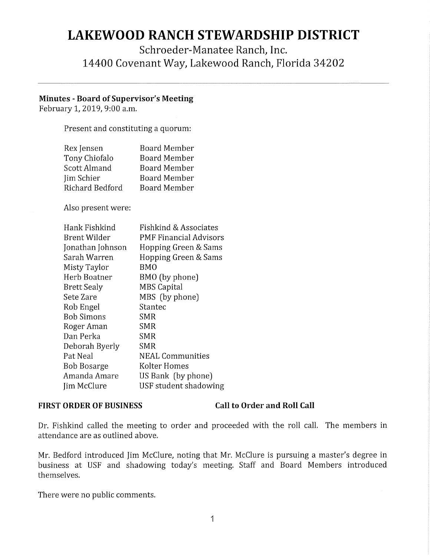# **LAKEWOOD RANCH STEWARDSHIP DISTRICT**

Schroeder-Manatee Ranch, Inc. 14400 Covenant Way, Lakewood Ranch, Florida 34202

### **Minutes** - **Board of Supervisor's Meeting**

February 1, 2019, 9:00 a.m.

Present and constituting a quorum:

| Rex Jensen      | <b>Board Member</b> |
|-----------------|---------------------|
| Tony Chiofalo   | <b>Board Member</b> |
| Scott Almand    | <b>Board Member</b> |
| Jim Schier      | Board Member        |
| Richard Bedford | <b>Board Member</b> |

Also present were:

| Hank Fishkind      | Fishkind & Associates  |
|--------------------|------------------------|
| Brent Wilder       | PMF Financial Advisors |
| Jonathan Johnson   | Hopping Green & Sams   |
| Sarah Warren       | Hopping Green & Sams   |
| Misty Taylor       | BMO                    |
| Herb Boatner       | BMO (by phone)         |
| <b>Brett Sealy</b> | <b>MBS Capital</b>     |
| Sete Zare          | MBS (by phone)         |
| Rob Engel          | Stantec                |
| <b>Bob Simons</b>  | SMR                    |
| Roger Aman         | <b>SMR</b>             |
| Dan Perka          | SMR                    |
| Deborah Byerly     | SMR                    |
| Pat Neal           | NEAL Communities       |
| <b>Bob Bosarge</b> | Kolter Homes           |
| Amanda Amare       | US Bank (by phone)     |
| Jim McClure        | USF student shadowing  |

### FIRST ORDER OF BUSINESS Call to Order and Roll Call

Dr. Fishkind called the meeting to order and proceeded with the roll call. The members in attendance are as outlined above.

Mr. Bedford introduced Jim McClure, noting that Mr. McClure is pursuing a master's degree in business at USF and shadowing today's meeting. Staff and Board Members introduced themselves.

There were no public comments.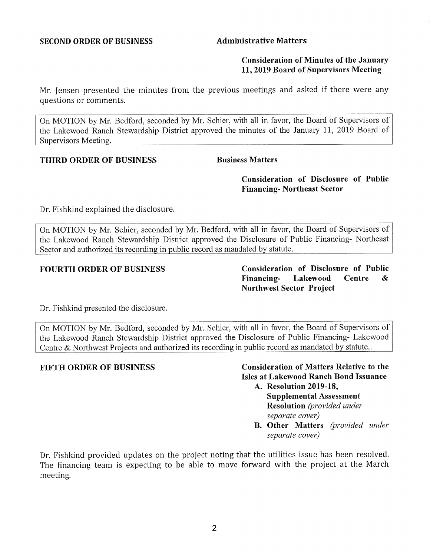### **Consideration of Minutes of the January 11, 2019 Board of Supervisors Meeting**

Mr. Jensen presented the minutes from the previous meetings and asked if there were any questions or comments.

On MOTION by Mr. Bedford, seconded by Mr. Schier, with all in favor, the Board of Supervisors of the Lakewood Ranch Stewardship District approved the minutes of the January 11, 2019 Board of Supervisors Meeting.

### **THIRD ORDER OF BUSINESS** Business Matters

**Consideration of Disclosure of Public Financing- Northeast Sector** 

Dr. Fishkind explained the disclosure.

On MOTION by Mr. Schier, seconded by Mr. Bedford, with all in favor, the Board of Supervisors of the Lakewood Ranch Stewardship District approved the Disclosure of Public Financing- Northeast Sector and authorized its recording in public record as mandated by statute.

**FOURTH ORDER OF BUSINESS Consideration of Disclosure of Public Financing- Lakewood Centre** & **Northwest Sector Project** 

Dr. Fishkind presented the disclosure.

On MOTION by Mr. Bedford, seconded by Mr. Schier, with all in favor, the Board of Supervisors of the Lakewood Ranch Stewardship District approved the Disclosure of Public Financing- Lakewood Centre & Northwest Projects and authorized its recording in public record as mandated by statute..

### **FIFTH ORDER OF BUSINESS Consideration of Matters Relative to the Isles at Lakewood Ranch Bond Issuance**

- **A. Resolution 2019-18, Supplemental Assessment Resolution** *(provided under separate cover)*
- **B. Other Matters** *(provided under separate cover)*

Dr. Fishkind provided updates on the project noting that the utilities issue has been resolved. The financing team is expecting to be able to move forward with the project at the March meeting.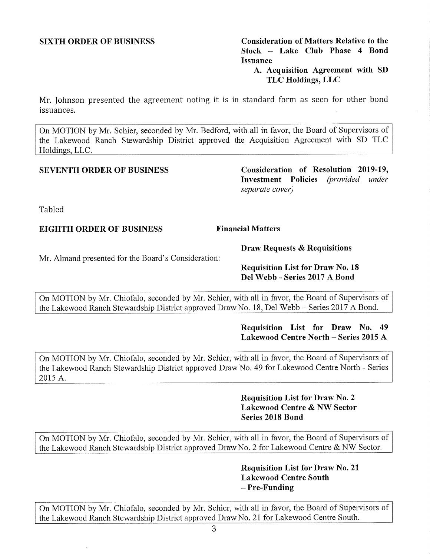On MOTION by Mr. Chiofalo, seconded by Mr. Schier, with all in favor, the Board of Supervisors of the Lakewood Ranch Stewardship District approved Draw No. 21 for Lakewood Centre South.

**SIXTH ORDER OF BUSINESS Consideration of Matters Relative to the Stock - Lake Club Phase 4 Bond Issuance** 

**A. Acquisition Agreement with SD TLC Holdings, LLC** 

Mr. Johnson presented the agreement noting it is in standard form as seen for other bond issuances.

On MOTION by Mr. Schier, seconded by Mr. Bedford, with all in favor, the Board of Supervisors of the Lakewood Ranch Stewardship District approved the Acquisition Agreement with SD TLC Holdings, LLC.

**SEVENTH ORDER OF BUSINESS Consideration of Resolution 2019-19, Investment Policies** *(provided under separate cover)* 

Tabled

## **EIGHTH ORDER OF BUSINESS** Financial Matters

**Draw Requests & Requisitions** 

Mr. Almand presented for the Board's Consideration:

**Requisition List for Draw No. 18 Del Webb - Series 2017 A Bond** 

On MOTION by Mr. Chiofalo, seconded by Mr. Schier, with all in favor, the Board of Supervisors of the Lakewood Ranch Stewardship District approved Draw No. 18, Del Webb – Series 2017 A Bond.

### **Requisition List for Draw No. 49 Lakewood Centre North - Series 2015 A**

On MOTION by Mr. Chiofalo, seconded by Mr. Schier, with all in favor, the Board of Supervisors of the Lakewood Ranch Stewardship District approved Draw No. 49 for Lakewood Centre North - Series 2015 A.

> **Requisition List for Draw No. 2 Lakewood Centre & NW Sector Series 2018 Bond**

On MOTION by Mr. Chiofalo, seconded by Mr. Schier, with all in favor, the Board of Supervisors of the Lakewood Ranch Stewardship District approved Draw No. 2 for Lakewood Centre & NW Sector.

> **Requisition List for Draw No. 21 Lakewood Centre South**  - **Pre-Funding**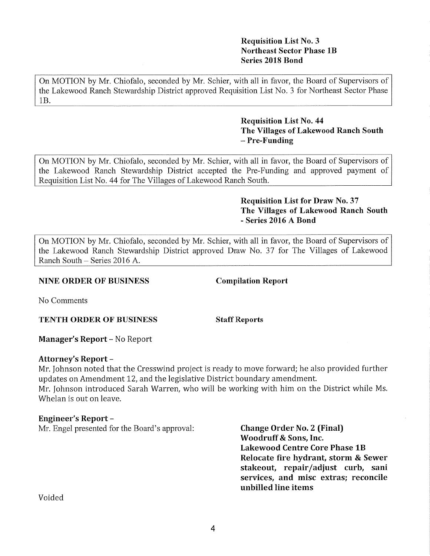No Comments

**TENTH ORDER OF BUSINESS Staff Reports** 

**Manager's Report-** No Report

### **Attorney's Report** -

Mr. Johnson noted that the Cresswind project is ready to move forward; he also provided further updates on Amendment 12, and the legislative District boundary amendment. Mr. Johnson introduced Sarah Warren, who will be working with him on the District while Ms. Whelan is out on leave.

### **Engineer's Report-**

Mr. Engel presented for the Board's approval: **Change Order No. 2 (Final)** 

**Woodruff & Sons, Inc. Lakewood Centre Core Phase 1B Relocate fire hydrant, storm & Sewer stakeout, repair/adjust curb, sani services, and misc extras; reconcile unbilled line items** 

Voided

### **Requisition List No. 3 Northeast Sector Phase lB Series 2018 Bond**

On MOTION by Mr. Chiofalo, seconded by Mr. Schier, with all in favor, the Board of Supervisors of the Lakewood Ranch Stewardship District approved Requisition List No. 3 for Northeast Sector Phase IB.

### **Requisition List No. 44 The Villages of Lakewood Ranch South -Pre-Funding**

On MOTION by Mr. Chiofalo, seconded by Mr. Schier, with all in favor, the Board of Supervisors of the Lakewood Ranch Stewardship District accepted the Pre-Funding and approved payment of Requisition List No. 44 for The Villages of Lakewood Ranch South.

# **Requisition List for Draw No. 37 The Villages of Lakewood Ranch South**  - **Series 2016 A Bond**

On MOTION by Mr. Chiofalo, seconded by Mr. Schier, with all in favor, the Board of Supervisors of the Lakewood Ranch Stewardship District approved Draw No. 37 for The Villages of Lakewood Ranch South - Series 2016 A.

# **NINE ORDER OF BUSINESS Compilation Report**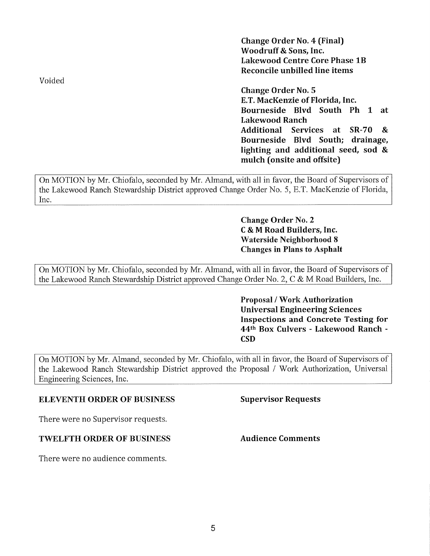**Change Order No. 4 (Final) Woodruff** & **Sons, Inc. Lakewood Centre Core Phase 1B Reconcile unbilled line items** 

**Change Order No. 5 E.T. MacKenzie of Florida, Inc. Bourneside Blvd South Ph 1 at Lakewood Ranch Additional Services at SR-70** & **Bourneside Blvd South; drainage, lighting and additional seed, sod** & **mulch** (**onsite and offsite)** 

On MOTION by Mr. Chiofalo, seconded by Mr. Almand, with all in favor, the Board of Supervisors of the Lakewood Ranch Stewardship District approved Change Order No. 5, E.T. MacKenzie of Florida, Inc.

> **Change Order No. 2 C**& **M Road Builders, Inc. Waterside Neighborhood 8 Changes in Plans to Asphalt**

On MOTION by Mr. Chiofalo, seconded by Mr. Almand, with all in favor, the Board of Supervisors of the Lakewood Ranch Stewardship District approved Change Order No. 2, C & M Road Builders, Inc.

> **Proposal** / **Work Authorization Universal Engineering Sciences Inspections and Concrete Testing for 44th Box Culvers** - **Lakewood Ranch** - **CSD**

On MOTION by Mr. Almand, seconded by Mr. Chiofalo, with all in favor, the Board of Supervisors of the Lakewood Ranch Stewardship District approved the Proposal / Work Authorization, Universal Engineering Sciences, Inc.

### **ELEVENTH ORDER OF BUSINESS Supervisor Requests**

There were no Supervisor requests.

## **TWELFTH ORDER OF BUSINESS Audience Comments**

There were no audience comments.

Voided